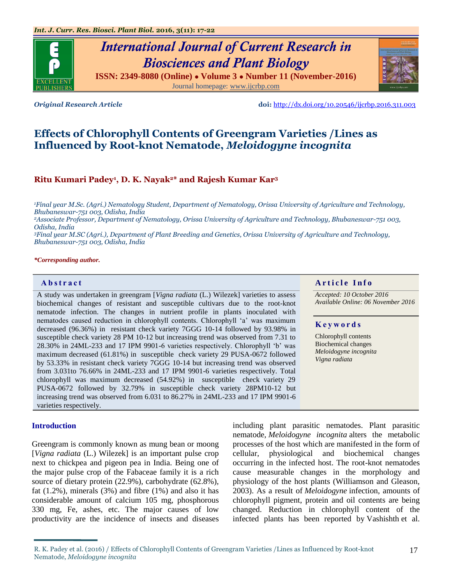# *International Journal of Current Research in Biosciences and Plant Biology*

**ISSN: 2349-8080 (Online) ● Volume 3 ● Number 11 (November-2016)** Journal homepage: [www.ijcrbp.com](http://www.ijcrbp.com/)

*Original Research Article* **doi:** <http://dx.doi.org/10.20546/ijcrbp.2016.311.003>

# **Effects of Chlorophyll Contents of Greengram Varieties /Lines as Influenced by Root-knot Nematode,** *Meloidogyne incognita*

# **Ritu Kumari Padey<sup>1</sup> , D. K. Nayak2\* and Rajesh Kumar Kar<sup>3</sup>**

*<sup>1</sup>Final year M.Sc. (Agri.) Nematology Student, Department of Nematology, Orissa University of Agriculture and Technology, Bhubaneswar-751 003, Odisha, India*

*<sup>2</sup>Associate Professor, Department of Nematology, Orissa University of Agriculture and Technology, Bhubaneswar-751 003, Odisha, India* 

*<sup>3</sup>Final year M.SC (Agri.), Department of Plant Breeding and Genetics, Orissa University of Agriculture and Technology, Bhubaneswar-751 003, Odisha, India*

#### *\*Corresponding author.*

A study was undertaken in greengram [*Vigna radiata* (L.) Wilezek] varieties to assess biochemical changes of resistant and susceptible cultivars due to the root-knot nematode infection. The changes in nutrient profile in plants inoculated with nematodes caused reduction in chlorophyll contents. Chlorophyll 'a' was maximum decreased (96.36%) in resistant check variety 7GGG 10-14 followed by 93.98% in susceptible check variety 28 PM 10-12 but increasing trend was observed from 7.31 to 28.30% in 24ML-233 and 17 IPM 9901-6 varieties respectively. Chlorophyll 'b' was maximum decreased (61.81%) in susceptible check variety 29 PUSA-0672 followed by 53.33% in resistant check variety 7GGG 10-14 but increasing trend was observed from 3.031to 76.66% in 24ML-233 and 17 IPM 9901-6 varieties respectively. Total chlorophyll was maximum decreased (54.92%) in susceptible check variety 29 PUSA-0672 followed by 32.79% in susceptible check variety 28PM10-12 but increasing trend was observed from 6.031 to 86.27% in 24ML-233 and 17 IPM 9901-6 varieties respectively.

# **Introduction**

Greengram is commonly known as mung bean or moong [*Vigna radiata* (L.) Wilezek] is an important pulse crop next to chickpea and pigeon pea in India. Being one of the major pulse crop of the Fabaceae family it is a rich source of dietary protein (22.9%), carbohydrate (62.8%), fat  $(1.2\%)$ , minerals  $(3\%)$  and fibre  $(1\%)$  and also it has considerable amount of calcium 105 mg, phosphorous 330 mg, Fe, ashes, etc. The major causes of low productivity are the incidence of insects and diseases

including plant parasitic nematodes. Plant parasitic nematode, *Meloidogyne incognita* alters the metabolic processes of the host which are manifested in the form of cellular, physiological and biochemical changes occurring in the infected host. The root-knot nematodes cause measurable changes in the morphology and physiology of the host plants (Williamson and Gleason, 2003). As a result of *Meloidogyne* infection, amounts of chlorophyll pigment, protein and oil contents are being changed. Reduction in chlorophyll content of the infected plants has been reported by Vashishth et al.

### **Abstract And a result of the Info**  $\alpha$  **Article Info**

*Accepted: 10 October 2016 Available Online: 06 November 2016*

# **K e y w o r d s**

Chlorophyll contents Biochemical changes *Meloidogyne incognita Vigna radiata*



R. K. Padey et al. (2016) / Effects of Chlorophyll Contents of Greengram Varieties /Lines as Influenced by Root-knot Nematode, *Meloidogyne incognita*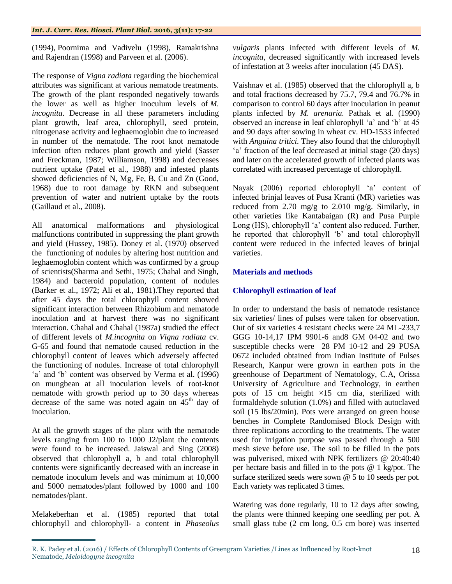(1994), Poornima and Vadivelu (1998), Ramakrishna and Rajendran (1998) and Parveen et al. (2006).

The response of *Vigna radiata* regarding the biochemical attributes was significant at various nematode treatments. The growth of the plant responded negatively towards the lower as well as higher inoculum levels of *M. incognita*. Decrease in all these parameters including plant growth, leaf area, chlorophyll, seed protein, nitrogenase activity and leghaemoglobin due to increased in number of the nematode. The root knot nematode infection often reduces plant growth and yield (Sasser and Freckman, 1987; Williamson, 1998) and decreases nutrient uptake (Patel et al., 1988) and infested plants showed deficiencies of N, Mg, Fe, B, Cu and Zn (Good, 1968) due to root damage by RKN and subsequent prevention of water and nutrient uptake by the roots (Gaillaud et al., 2008).

All anatomical malformations and physiological malfunctions contributed in suppressing the plant growth and yield (Hussey, 1985). Doney et al. (1970) observed the functioning of nodules by altering host nutrition and leghaemoglobin content which was confirmed by a group of scientists(Sharma and Sethi, 1975; Chahal and Singh, 1984) and bacteroid population, content of nodules (Barker et al., 1972; Ali et al., 1981).They reported that after 45 days the total chlorophyll content showed significant interaction between Rhizobium and nematode inoculation and at harvest there was no significant interaction. Chahal and Chahal (1987a) studied the effect of different levels of *M.incognita* on *Vigna radiata* cv. G-65 and found that nematode caused reduction in the chlorophyll content of leaves which adversely affected the functioning of nodules. Increase of total chlorophyll 'a' and 'b' content was observed by Verma et al. (1996) on mungbean at all inoculation levels of root-knot nematode with growth period up to 30 days whereas decrease of the same was noted again on  $45<sup>th</sup>$  day of inoculation.

At all the growth stages of the plant with the nematode levels ranging from 100 to 1000 J2/plant the contents were found to be increased. Jaiswal and Sing (2008) observed that chlorophyll a, b and total chlorophyll contents were significantly decreased with an increase in nematode inoculum levels and was minimum at 10,000 and 5000 nematodes/plant followed by 1000 and 100 nematodes/plant.

Melakeberhan et al. (1985) reported that total chlorophyll and chlorophyll- a content in *Phaseolus* 

*vulgaris* plants infected with different levels of *M. incognita*, decreased significantly with increased levels of infestation at 3 weeks after inoculation (45 DAS).

Vaishnav et al. (1985) observed that the chlorophyll a, b and total fractions decreased by 75.7, 79.4 and 76.7% in comparison to control 60 days after inoculation in peanut plants infected by *M. arenaria.* Pathak et al. (1990) observed an increase in leaf chlorophyll 'a' and 'b' at 45 and 90 days after sowing in wheat cv. HD-1533 infected with *Anguina tritici.* They also found that the chlorophyll 'a' fraction of the leaf decreased at initial stage (20 days) and later on the accelerated growth of infected plants was correlated with increased percentage of chlorophyll.

Nayak (2006) reported chlorophyll 'a' content of infected brinjal leaves of Pusa Kranti (MR) varieties was reduced from 2.70 mg/g to 2.010 mg/g. Similarly, in other varieties like Kantabaigan (R) and Pusa Purple Long (HS), chlorophyll 'a' content also reduced. Further, he reported that chlorophyll 'b' and total chlorophyll content were reduced in the infected leaves of brinjal varieties.

# **Materials and methods**

# **Chlorophyll estimation of leaf**

In order to understand the basis of nematode resistance six varieties/ lines of pulses were taken for observation. Out of six varieties 4 resistant checks were 24 ML-233,7 GGG 10-14,17 IPM 9901-6 and8 GM 04-02 and two susceptible checks were 28 PM 10-12 and 29 PUSA 0672 included obtained from Indian Institute of Pulses Research, Kanpur were grown in earthen pots in the greenhouse of Department of Nematology, C.A, Orissa University of Agriculture and Technology, in earthen pots of 15 cm height ×15 cm dia, sterilized with formaldehyde solution (1.0%) and filled with autoclaved soil (15 lbs/20min). Pots were arranged on green house benches in Complete Randomised Block Design with three replications according to the treatments. The water used for irrigation purpose was passed through a 500 mesh sieve before use. The soil to be filled in the pots was pulverised, mixed with NPK fertilizers @ 20:40:40 per hectare basis and filled in to the pots @ 1 kg/pot. The surface sterilized seeds were sown @ 5 to 10 seeds per pot. Each variety was replicated 3 times.

Watering was done regularly, 10 to 12 days after sowing, the plants were thinned keeping one seedling per pot. A small glass tube (2 cm long, 0.5 cm bore) was inserted

R. K. Padey et al. (2016) / Effects of Chlorophyll Contents of Greengram Varieties /Lines as Influenced by Root-knot Nematode, *Meloidogyne incognita*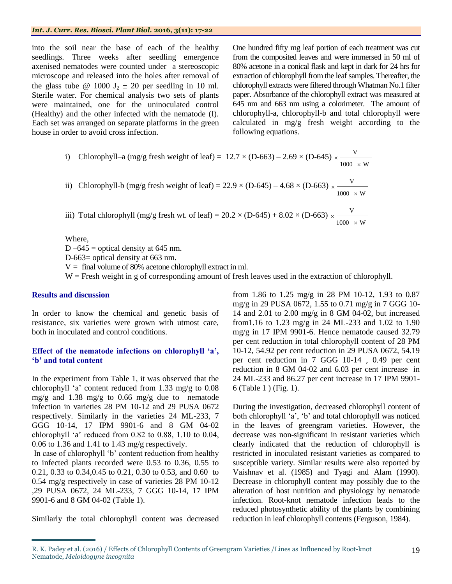# *Int. J. Curr. Res. Biosci. Plant Biol.* **2016, 3(11): 17-22**

into the soil near the base of each of the healthy seedlings. Three weeks after seedling emergence axenised nematodes were counted under a stereoscopic microscope and released into the holes after removal of the glass tube @ 1000  $J_2 \pm 20$  per seedling in 10 ml. Sterile water. For chemical analysis two sets of plants were maintained, one for the uninoculated control (Healthy) and the other infected with the nematode (I). Each set was arranged on separate platforms in the green house in order to avoid cross infection.

One hundred fifty mg leaf portion of each treatment was cut from the composited leaves and were immersed in 50 ml of 80% acetone in a conical flask and kept in dark for 24 hrs for extraction of chlorophyll from the leaf samples. Thereafter, the chlorophyll extracts were filtered through Whatman No.1 filter paper. Absorbance of the chlorophyll extract was measured at 645 nm and 663 nm using a colorimeter. The amount of chlorophyll-a, chlorophyll-b and total chlorophyll were calculated in mg/g fresh weight according to the following equations.

 $1000~\times$  W

\n- i) Chlorophyll–a (mg/g fresh weight of leaf) = 
$$
12.7 \times (D-663) - 2.69 \times (D-645) \times \frac{V}{1000 \times W}
$$
\n- ii) Chlorophyll–b (mg/g fresh weight of leaf) =  $22.9 \times (D-645) - 4.68 \times (D-663) \times \frac{V}{1000 \times W}$
\n

iii) Total chlorophyll (mg/g fresh wt. of leaf) =  $20.2 \times (D-645) + 8.02 \times (D-663)$  $1000 \times W$ V  $\times$  $\times$ 

Where,

D –645 = optical density at 645 nm. D-663= optical density at 663 nm.  $V =$  final volume of 80% acetone chlorophyll extract in ml. W = Fresh weight in g of corresponding amount of fresh leaves used in the extraction of chlorophyll.

### **Results and discussion**

In order to know the chemical and genetic basis of resistance, six varieties were grown with utmost care, both in inoculated and control conditions.

# **Effect of the nematode infections on chlorophyll 'a', 'b' and total content**

In the experiment from Table 1, it was observed that the chlorophyll 'a' content reduced from 1.33 mg/g to 0.08 mg/g and 1.38 mg/g to 0.66 mg/g due to nematode infection in varieties 28 PM 10-12 and 29 PUSA 0672 respectively. Similarly in the varieties 24 ML-233, 7 GGG 10-14, 17 IPM 9901-6 and 8 GM 04-02 chlorophyll 'a' reduced from 0.82 to 0.88, 1.10 to 0.04, 0.06 to 1.36 and 1.41 to 1.43 mg/g respectively.

In case of chlorophyll 'b' content reduction from healthy to infected plants recorded were 0.53 to 0.36, 0.55 to 0.21, 0.33 to 0.34,0.45 to 0.21, 0.30 to 0.53, and 0.60 to 0.54 mg/g respectively in case of varieties 28 PM 10-12 ,29 PUSA 0672, 24 ML-233, 7 GGG 10-14, 17 IPM 9901-6 and 8 GM 04-02 (Table 1).

Similarly the total chlorophyll content was decreased

from 1.86 to 1.25 mg/g in 28 PM 10-12, 1.93 to 0.87 mg/g in 29 PUSA 0672, 1.55 to 0.71 mg/g in 7 GGG 10- 14 and 2.01 to 2.00 mg/g in 8 GM 04-02, but increased from1.16 to 1.23 mg/g in 24 ML-233 and 1.02 to 1.90 mg/g in 17 IPM 9901-6. Hence nematode caused 32.79 per cent reduction in total chlorophyll content of 28 PM 10-12, 54.92 per cent reduction in 29 PUSA 0672, 54.19 per cent reduction in 7 GGG 10-14 , 0.49 per cent reduction in 8 GM 04-02 and 6.03 per cent increase in 24 ML-233 and 86.27 per cent increase in 17 IPM 9901- 6 (Table 1 ) (Fig. 1).

During the investigation, decreased chlorophyll content of both chlorophyll 'a', 'b' and total chlorophyll was noticed in the leaves of greengram varieties. However, the decrease was non-significant in resistant varieties which clearly indicated that the reduction of chlorophyll is restricted in inoculated resistant varieties as compared to susceptible variety. Similar results were also reported by Vaishnav et al. (1985) and Tyagi and Alam (1990). Decrease in chlorophyll content may possibly due to the alteration of host nutrition and physiology by nematode infection. Root-knot nematode infection leads to the reduced photosynthetic ability of the plants by combining reduction in leaf chlorophyll contents (Ferguson, 1984).

R. K. Padey et al. (2016) / Effects of Chlorophyll Contents of Greengram Varieties /Lines as Influenced by Root-knot Nematode, *Meloidogyne incognita*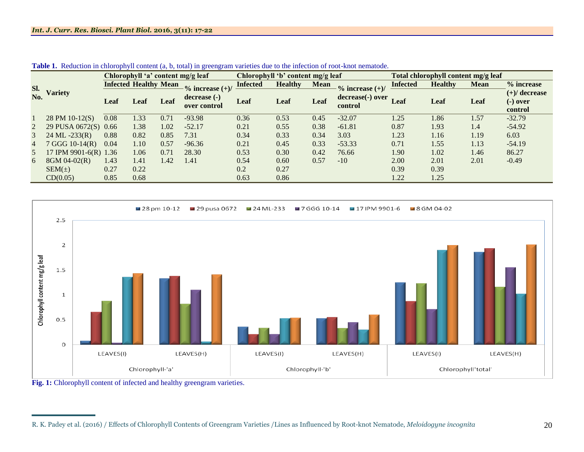|                | <b>Variety</b>                   | Chlorophyll 'a' content mg/g leaf |                              |      |                              | Chlorophyll 'b' content mg/g leaf |                |             |                               | Total chlorophyll content mg/g leaf |                |             |                                          |
|----------------|----------------------------------|-----------------------------------|------------------------------|------|------------------------------|-----------------------------------|----------------|-------------|-------------------------------|-------------------------------------|----------------|-------------|------------------------------------------|
| Sl.<br>No.     |                                  |                                   | <b>Infected Healthy Mean</b> |      | $\%$ increase $(+)/$         | <b>Infected</b>                   | <b>Healthy</b> | <b>Mean</b> | $\frac{6}{6}$ increase $(+)/$ | <b>Infected</b>                     | <b>Healthy</b> | <b>Mean</b> | % increase                               |
|                |                                  | Leaf                              | Leaf                         | Leaf | decrease (-)<br>over control | Leaf                              | Leaf           | Leaf        | decrease(-) over<br>control   | Leaf                                | Leaf           | Leaf        | $(+)/$ decrease<br>$(-)$ over<br>control |
|                | 28 PM 10-12(S)                   | 0.08                              | 1.33                         | 0.71 | $-93.98$                     | 0.36                              | 0.53           | 0.45        | $-32.07$                      | 1.25                                | 1.86           | 1.57        | $-32.79$                                 |
|                | 29 PUSA 0672(S) 0.66             |                                   | 1.38                         | 1.02 | $-52.17$                     | 0.21                              | 0.55           | 0.38        | $-61.81$                      | 0.87                                | 1.93           | 1.4         | $-54.92$                                 |
| 3              | $24 \text{ ML } -233 \text{(R)}$ | 0.88                              | 0.82                         | 0.85 | 7.31                         | 0.34                              | 0.33           | 0.34        | 3.03                          | 1.23                                | 1.16           | 1.19        | 6.03                                     |
| $\overline{4}$ | 7 GGG 10-14(R)                   | 0.04                              | 1.10                         | 0.57 | $-96.36$                     | 0.21                              | 0.45           | 0.33        | $-53.33$                      | 0.71                                | 1.55           | 1.13        | $-54.19$                                 |
| 5              | 17 IPM 9901-6(R) 1.36            |                                   | 1.06                         | 0.71 | 28.30                        | 0.53                              | 0.30           | 0.42        | 76.66                         | 1.90                                | 1.02           | 1.46        | 86.27                                    |
| 6              | 8GM 04-02(R)                     | 1.43                              | 1.41                         | 1.42 | 1.41                         | 0.54                              | 0.60           | 0.57        | $-10$                         | 2.00                                | 2.01           | 2.01        | $-0.49$                                  |
|                | $SEM(\pm)$                       | 0.27                              | 0.22                         |      |                              | 0.2                               | 0.27           |             |                               | 0.39                                | 0.39           |             |                                          |
|                | CD(0.05)                         | 0.85                              | 0.68                         |      |                              | 0.63                              | 0.86           |             |                               | 1.22                                | 1.25           |             |                                          |

**Table 1.** Reduction in chlorophyll content (a, b, total) in greengram varieties due to the infection of root-knot nematode.



Fig. 1: Chlorophyll content of infected and healthy greengram varieties.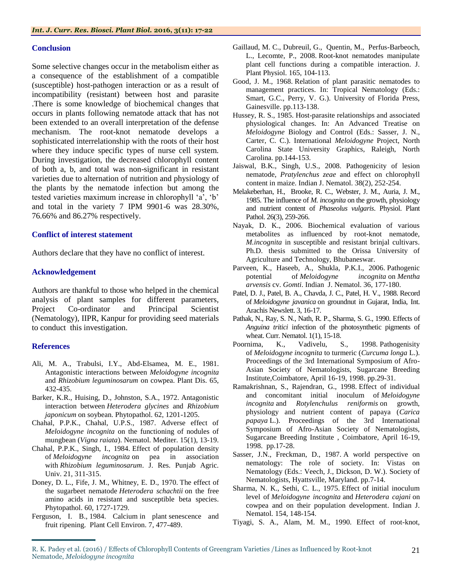# **Conclusion**

Some selective changes occur in the metabolism either as a consequence of the establishment of a compatible (susceptible) host-pathogen interaction or as a result of incompatibility (resistant) between host and parasite .There is some knowledge of biochemical changes that occurs in plants following nematode attack that has not been extended to an overall interpretation of the defense mechanism. The root-knot nematode develops a sophisticated interrelationship with the roots of their host where they induce specific types of nurse cell system. During investigation, the decreased chlorophyll content of both a, b, and total was non-significant in resistant varieties due to alternation of nutrition and physiology of the plants by the nematode infection but among the tested varieties maximum increase in chlorophyll 'a', 'b' and total in the variety 7 IPM 9901-6 was 28.30%, 76.66% and 86.27% respectively.

### **Conflict of interest statement**

Authors declare that they have no conflict of interest.

# **Acknowledgement**

Authors are thankful to those who helped in the chemical analysis of plant samples for different parameters, Project Co-ordinator and Principal Scientist (Nematology), IIPR, Kanpur for providing seed materials to conduct this investigation.

# **References**

- Ali, M. A., Trabulsi, I.Y., Abd-Elsamea, M. E., 1981. Antagonistic interactions between *Meloidogyne incognita* and *Rhizobium leguminosarum* on cowpea. Plant Dis. 65, 432-435.
- Barker, K.R., Huising, D., Johnston, S.A., 1972. Antagonistic interaction between *Heterodera glycines* and *Rhizobium japonicum* on soybean. Phytopathol. 62, 1201-1205.
- Chahal, P.P.K., Chahal, U.P.S., 1987. Adverse effect of *Meloidogyne incognita* on the functioning of nodules of mungbean (*Vigna raiata*). Nematol. Mediter. 15(1), 13-19.
- Chahal, P.P.K., Singh, I., 1984. Effect of population density of *Meloidogyne incognita* on pea in association with *Rhizobium leguminosarum*. J. Res. Punjab Agric. Univ. 21, 311-315.
- Doney, D. L., Fife, J. M., Whitney, E. D., 1970. The effect of the sugarbeet nematode *Heterodera schachtii* on the free amino acids in resistant and susceptible beta species. Phytopathol. 60, 1727-1729.
- Ferguson, I. B., 1984. Calcium in plant senescence and fruit ripening. Plant Cell Environ. 7, 477-489.
- Gaillaud, M. C., Dubreuil, G., Quentin, M., Perfus-Barbeoch, L., Lecomte, P., 2008. Root-knot nematodes manipulate plant cell functions during a compatible interaction. J. Plant Physiol. 165, 104-113.
- Good, J. M., 1968. Relation of plant parasitic nematodes to management practices. In: Tropical Nematology (Eds.: Smart, G.C., Perry, V. G.). University of Florida Press, Gainesville. pp.113-138.
- Hussey, R. S., 1985. Host-parasite relationships and associated physiological changes. In: An Advanced Treatise on *Meloidogyne* Biology and Control (Eds.: Sasser, J. N., Carter, C. C.). International *Meloidogyne* Project, North Carolina State University Graphics, Raleigh, North Carolina. pp.144-153.
- Jaiswal, B.K., Singh, U.S., 2008. Pathogenicity of lesion nematode, *Pratylenchus zeae* and effect on chlorophyll content in maize. Indian J. Nematol. 38(2), 252-254.
- Melakeberhan, H., Brooke, R. C., Webster, J. M., Auria, J. M., 1985. The influence of *M. incognita* on the growth, physiology and nutrient content of *Phaseolus vulgaris*. Physiol. Plant Pathol. 26(3), 259-266.
- Nayak, D. K., 2006. Biochemical evaluation of various metabolites as influenced by root-knot nematode, *M.incognita* in susceptible and resistant brinjal cultivars. Ph.D. thesis submitted to the Orissa University of Agriculture and Technology, Bhubaneswar.
- Parveen, K., Haseeb, A., Shukla, P.K.I., 2006. Pathogenic potential of *Meloidogyne incognita* on *Mentha arvensis* cv. *Gomti*. Indian J. Nematol. 36, 177-180.
- Patel, D. J., Patel, B. A., Chavda, J. C., Patel, H. V., 1988. Record of *Meloidogyne javanica* on groundnut in Gujarat, India, Int. Arachis Newslett. 3, 16-17.
- Pathak, N., Ray, S. N., Nath, R. P., Sharma, S. G., 1990. Effects of *Anguina tritici* infection of the photosynthetic pigments of wheat. Curr. Nematol. 1(1), 15-18.
- Poornima, K., Vadivelu, S., 1998. Pathogenisity of *Meloidogyne incognita* to turmeric (*Curcuma longa* L.). Proceedings of the 3rd International Symposium of Afro-Asian Society of Nematologists, Sugarcane Breeding Institute,Coimbatore, April 16-19, 1998. pp.29-31.
- Ramakrishnan, S., Rajendran, G., 1998. Effect of individual and concomitant initial inoculum of *Meloidogyne incognita* and *Rotylenchulus reniformis* on growth, physiology and nutrient content of papaya (*Carica papaya* L.). Proceedings of the 3rd International Symposium of Afro-Asian Society of Nematologists, Sugarcane Breeding Institute , Coimbatore, April 16-19, 1998. pp.17-28.
- Sasser, J.N., Freckman, D., 1987. A world perspective on nematology: The role of society. In: Vistas on Nematology (Eds.: Veech, J., Dickson, D. W.). Society of Nematologists, Hyattsville, Maryland. pp.7-14.
- Sharma, N. K., Sethi, C. L., 1975. Effect of initial inoculum level of *Meloidogyne incognita* and *Heterodera cajani* on cowpea and on their population development. Indian J. Nematol. 154, 148-154.
- Tiyagi, S. A., Alam, M. M., 1990. Effect of root-knot,